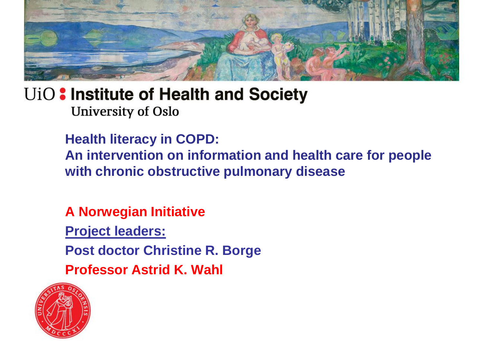

**Health literacy in COPD: An intervention on information and health care for people with chronic obstructive pulmonary disease**

**A Norwegian Initiative**

**Project leaders:**

**Post doctor Christine R. Borge** 

**Professor Astrid K. Wahl**

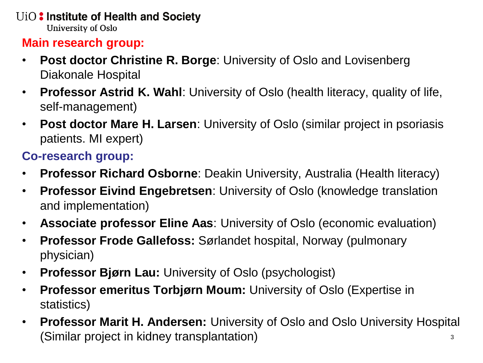#### **Main research group:**

- **Post doctor Christine R. Borge**: University of Oslo and Lovisenberg Diakonale Hospital
- **Professor Astrid K. Wahl**: University of Oslo (health literacy, quality of life, self-management)
- **Post doctor Mare H. Larsen**: University of Oslo (similar project in psoriasis patients. MI expert)

### **Co-research group:**

- **Professor Richard Osborne**: Deakin University, Australia (Health literacy)
- **Professor Eivind Engebretsen**: University of Oslo (knowledge translation and implementation)
- **Associate professor Eline Aas**: University of Oslo (economic evaluation)
- **Professor Frode Gallefoss:** Sørlandet hospital, Norway (pulmonary physician)
- **Professor Bjørn Lau:** University of Oslo (psychologist)
- **Professor emeritus Torbjørn Moum:** University of Oslo (Expertise in statistics)
- **Professor Marit H. Andersen:** University of Oslo and Oslo University Hospital (Similar project in kidney transplantation) 3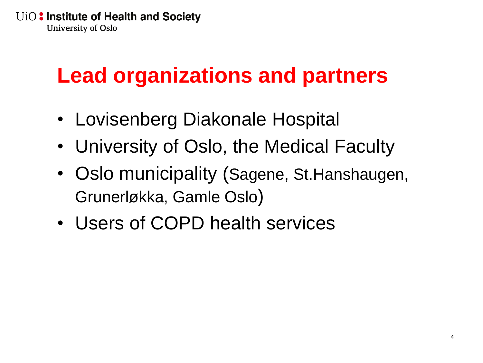# **Lead organizations and partners**

- Lovisenberg Diakonale Hospital
- University of Oslo, the Medical Faculty
- Oslo municipality (Sagene, St. Hanshaugen, Grunerløkka, Gamle Oslo)
- Users of COPD health services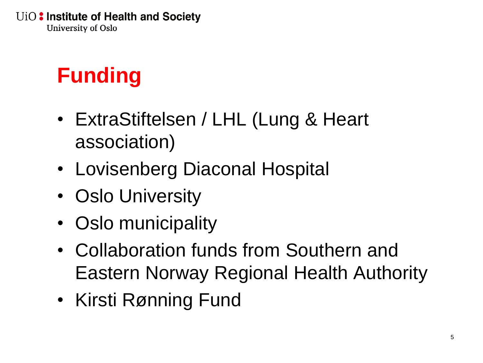# **Funding**

- ExtraStiftelsen / LHL (Lung & Heart association)
- Lovisenberg Diaconal Hospital
- Oslo University
- Oslo municipality
- Collaboration funds from Southern and Eastern Norway Regional Health Authority
- Kirsti Rønning Fund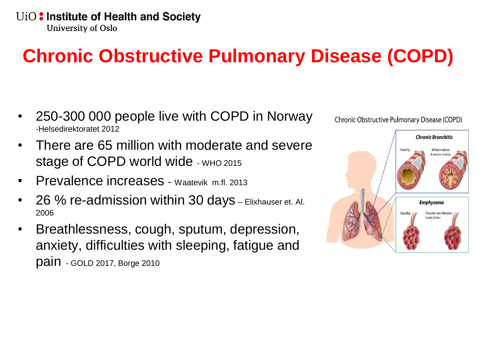## **Chronic Obstructive Pulmonary Disease (COPD)**

- 250-300 000 people live with COPD in Norway -Helsedirektoratet 2012
- There are 65 million with moderate and severe Stage of COPD world wide - WHO 2015
- Prevalence increases Waatevik m.fl. 2013
- 26 % re-admission within 30 days Elixhauser et. Al. 2006
- Breathlessness, cough, sputum, depression, anxiety, difficulties with sleeping, fatigue and pain - GOLD 2017, Borge 2010



Chronic Obstructive Pulmonary Disease (COPD)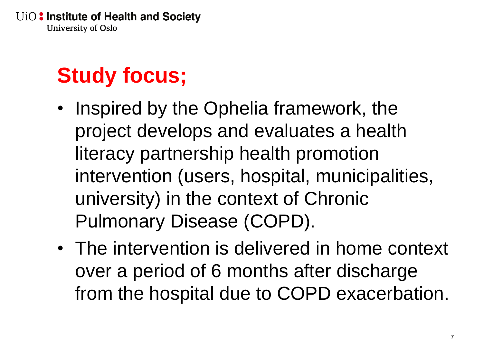# **Study focus;**

- Inspired by the Ophelia framework, the project develops and evaluates a health literacy partnership health promotion intervention (users, hospital, municipalities, university) in the context of Chronic Pulmonary Disease (COPD).
- The intervention is delivered in home context over a period of 6 months after discharge from the hospital due to COPD exacerbation.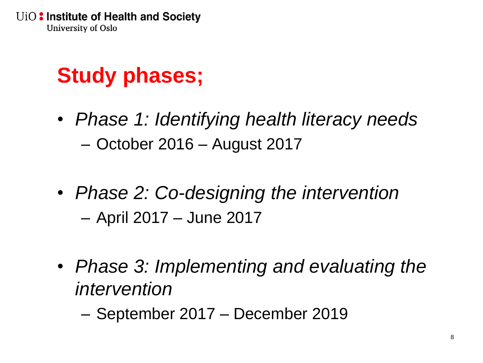# **Study phases;**

- *Phase 1: Identifying health literacy needs* – October 2016 – August 2017
- *Phase 2: Co-designing the intervention* – April 2017 – June 2017
- *Phase 3: Implementing and evaluating the intervention*

– September 2017 – December 2019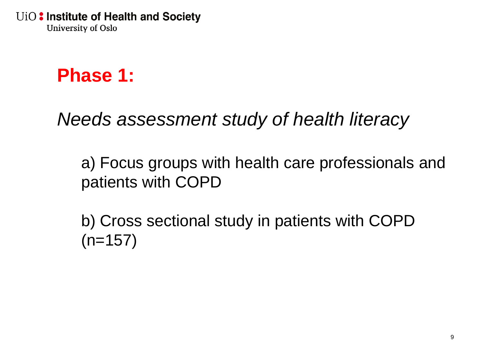## **Phase 1:**

*Needs assessment study of health literacy*

a) Focus groups with health care professionals and patients with COPD

b) Cross sectional study in patients with COPD  $(n=157)$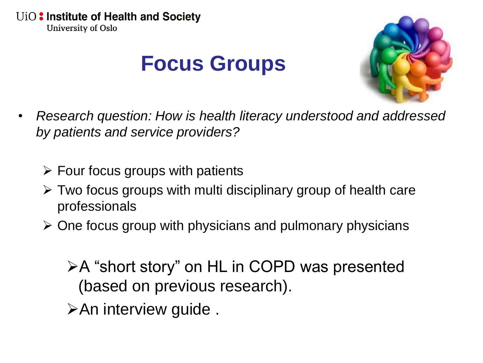## **Focus Groups**



- *Research question: How is health literacy understood and addressed by patients and service providers?*
	- $\triangleright$  Four focus groups with patients
	- $\triangleright$  Two focus groups with multi disciplinary group of health care professionals
	- $\triangleright$  One focus group with physicians and pulmonary physicians

A "short story" on HL in COPD was presented (based on previous research).

**≻An interview guide.**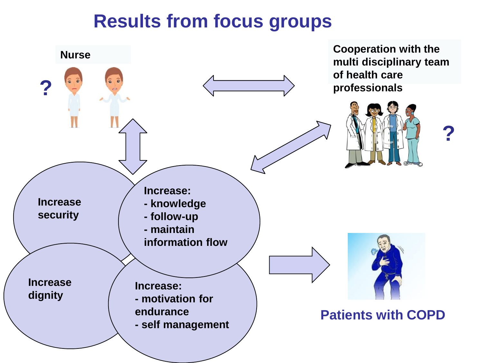### **Results from focus groups**

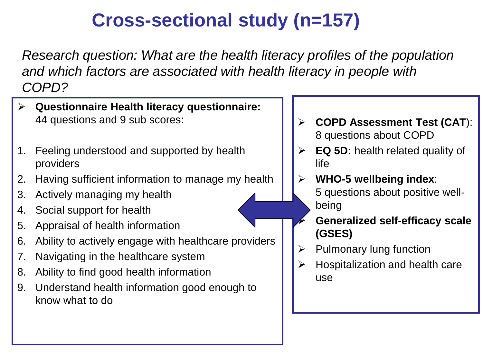## **Cross-sectional study (n=157)**

*Research question: What are the health literacy profiles of the population and which factors are associated with health literacy in people with COPD?*

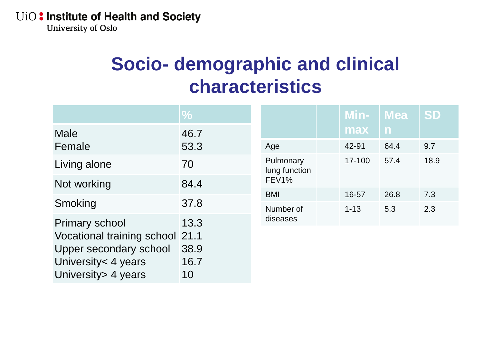University of Oslo

## **Socio- demographic and clinical characteristics**

|                                 | $\%$ |                                                 | Min-     | <b>Mea</b>   | <b>SD</b> |
|---------------------------------|------|-------------------------------------------------|----------|--------------|-----------|
| <b>Male</b>                     | 46.7 |                                                 | max      | $\mathsf{n}$ |           |
| Female                          | 53.3 | Age                                             | 42-91    | 64.4         | 9.7       |
| Living alone                    | 70   | Pulmonary<br>lung function<br>FEV <sub>1%</sub> | 17-100   | 57.4         | 18.9      |
| Not working                     | 84.4 |                                                 |          |              |           |
|                                 | 37.8 | <b>BMI</b>                                      | 16-57    | 26.8         | 7.3       |
| Smoking                         |      | Number of                                       | $1 - 13$ | 5.3          | 2.3       |
| <b>Primary school</b>           | 13.3 | diseases                                        |          |              |           |
| Vocational training school 21.1 |      |                                                 |          |              |           |
| Upper secondary school          | 38.9 |                                                 |          |              |           |
| University < 4 years            | 16.7 |                                                 |          |              |           |
| University > 4 years            | 10   |                                                 |          |              |           |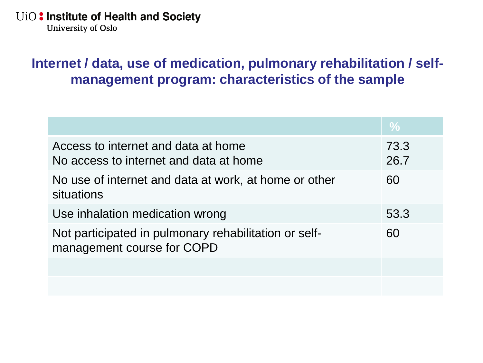**University of Oslo** 

### **Internet / data, use of medication, pulmonary rehabilitation / selfmanagement program: characteristics of the sample**

|                                                                                     | $\%$         |
|-------------------------------------------------------------------------------------|--------------|
| Access to internet and data at home<br>No access to internet and data at home       | 73.3<br>26.7 |
| No use of internet and data at work, at home or other<br>situations                 | 60           |
| Use inhalation medication wrong                                                     | 53.3         |
| Not participated in pulmonary rehabilitation or self-<br>management course for COPD | 60           |
|                                                                                     |              |
|                                                                                     |              |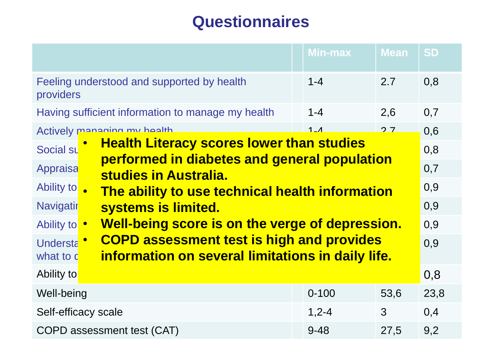### **Questionnaires**

|                                                                                                               | <b>Min-max</b>                                                                                                                                           | <b>Mean</b> | <b>SD</b> |  |  |                                         |  |
|---------------------------------------------------------------------------------------------------------------|----------------------------------------------------------------------------------------------------------------------------------------------------------|-------------|-----------|--|--|-----------------------------------------|--|
| Feeling understood and supported by health<br>providers                                                       | $1 - 4$                                                                                                                                                  | 2.7         | 0,8       |  |  |                                         |  |
| Having sufficient information to manage my health                                                             | $1 - 4$                                                                                                                                                  | 2,6         | 0,7       |  |  |                                         |  |
| Actively managing my health                                                                                   | $1 - A$                                                                                                                                                  | 27          | 0,6       |  |  |                                         |  |
| <b>Health Literacy scores lower than studies</b><br>Social su<br>performed in diabetes and general population |                                                                                                                                                          |             |           |  |  |                                         |  |
| Appraisa<br>studies in Australia.<br>Ability to<br>The ability to use technical health information            |                                                                                                                                                          |             |           |  |  |                                         |  |
|                                                                                                               |                                                                                                                                                          |             |           |  |  | <b>Navigatir</b><br>systems is limited. |  |
| Ability to •                                                                                                  | Well-being score is on the verge of depression.<br><b>COPD assessment test is high and provides</b><br>information on several limitations in daily life. |             |           |  |  |                                         |  |
| <b>Understa</b><br>what to c                                                                                  |                                                                                                                                                          |             |           |  |  |                                         |  |
| Ability to                                                                                                    |                                                                                                                                                          |             | 0,8       |  |  |                                         |  |
| Well-being                                                                                                    | $0 - 100$                                                                                                                                                | 53,6        | 23,8      |  |  |                                         |  |
| Self-efficacy scale                                                                                           | $1,2 - 4$                                                                                                                                                | 3           | 0,4       |  |  |                                         |  |
| 27,5<br>COPD assessment test (CAT)<br>$9 - 48$                                                                |                                                                                                                                                          |             | 9,2       |  |  |                                         |  |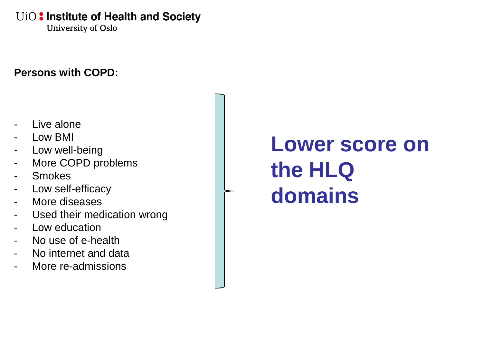**University of Oslo** 

#### **Persons with COPD:**

- Live alone
- Low BMI
- Low well-being
- More COPD problems
- **Smokes**
- Low self-efficacy
- More diseases
- Used their medication wrong
- Low education
- No use of e-health
- No internet and data
- More re-admissions

# **Lower score on the HLQ domains**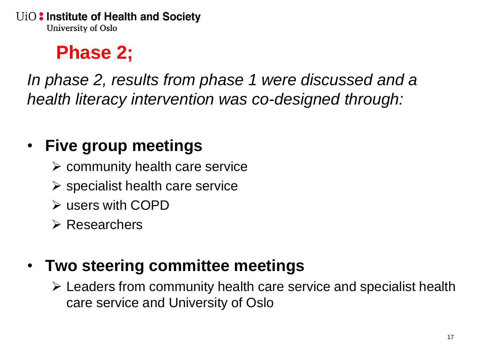## **Phase 2;**

*In phase 2, results from phase 1 were discussed and a health literacy intervention was co-designed through:*

### • **Five group meetings**

- $\triangleright$  community health care service
- $\triangleright$  specialist health care service
- users with COPD
- **E** Researchers

### • **Two steering committee meetings**

 Leaders from community health care service and specialist health care service and University of Oslo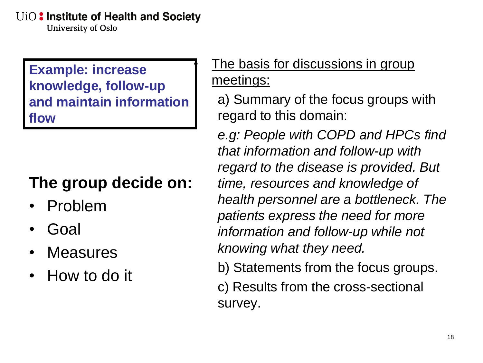University of Oslo

**Example: increase knowledge, follow-up and maintain information flow**

### **The group decide on:**

- Problem
- Goal
- **Measures**
- How to do it

### The basis for discussions in group meetings:

a) Summary of the focus groups with regard to this domain:

*e.g: People with COPD and HPCs find that information and follow-up with regard to the disease is provided. But time, resources and knowledge of health personnel are a bottleneck. The patients express the need for more information and follow-up while not knowing what they need.*

b) Statements from the focus groups.

c) Results from the cross-sectional survey.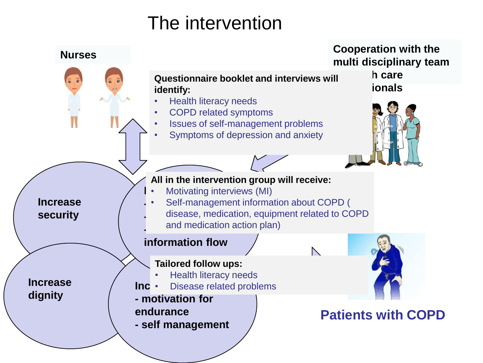## The intervention

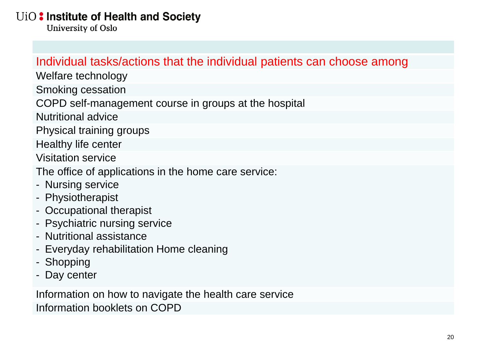**University of Oslo** 

#### Individual tasks/actions that the individual patients can choose among

Welfare technology

Smoking cessation

COPD self-management course in groups at the hospital

Nutritional advice

Physical training groups

Healthy life center

Visitation service

The office of applications in the home care service:

- Nursing service
- Physiotherapist
- Occupational therapist
- Psychiatric nursing service
- Nutritional assistance
- Everyday rehabilitation Home cleaning
- Shopping
- Day center

Information on how to navigate the health care service Information booklets on COPD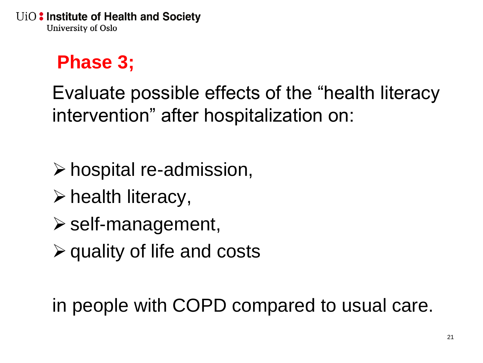## **Phase 3;**

Evaluate possible effects of the "health literacy intervention" after hospitalization on:

 $\triangleright$  hospital re-admission,

- $\triangleright$  health literacy,
- $\triangleright$  self-management,
- $\triangleright$  quality of life and costs

in people with COPD compared to usual care.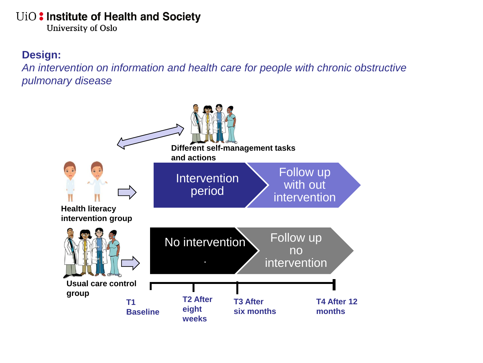**University of Oslo** 

#### **Design:**

*An intervention on information and health care for people with chronic obstructive pulmonary disease*

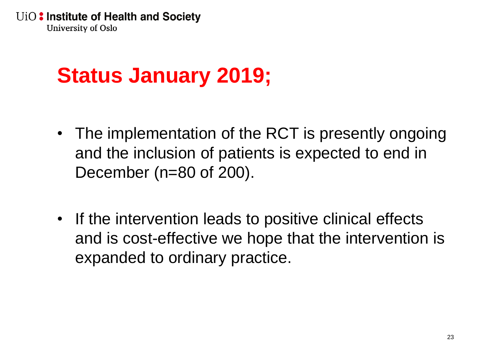# **Status January 2019;**

- The implementation of the RCT is presently ongoing and the inclusion of patients is expected to end in December (n=80 of 200).
- If the intervention leads to positive clinical effects and is cost-effective we hope that the intervention is expanded to ordinary practice.